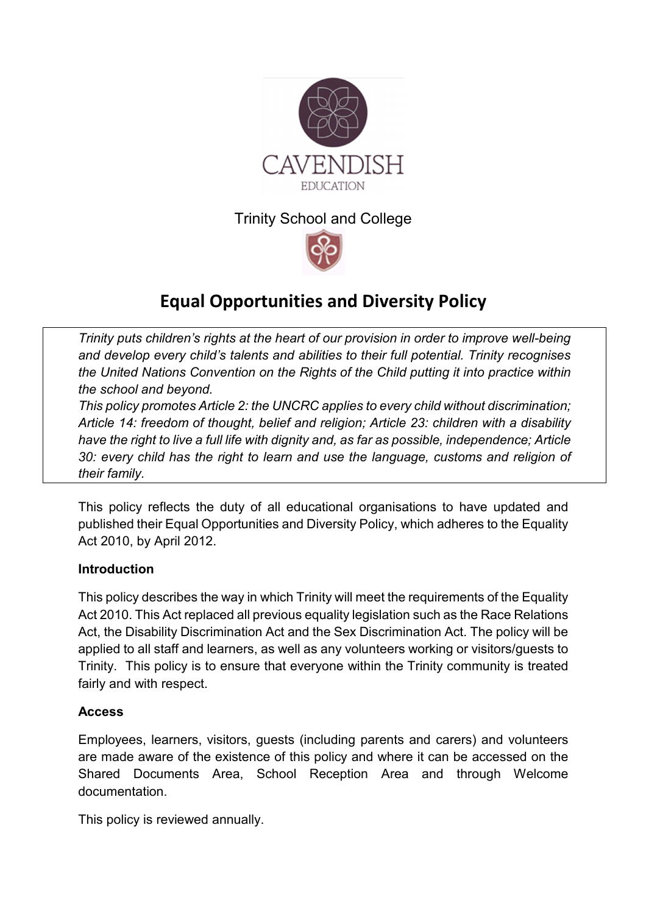

## Trinity School and College



# **Equal Opportunities and Diversity Policy**

*Trinity puts children's rights at the heart of our provision in order to improve well-being and develop every child's talents and abilities to their full potential. Trinity recognises the United Nations Convention on the Rights of the Child putting it into practice within the school and beyond.* 

*This policy promotes Article 2: the UNCRC applies to every child without discrimination; Article 14: freedom of thought, belief and religion; Article 23: children with a disability have the right to live a full life with dignity and, as far as possible, independence; Article 30: every child has the right to learn and use the language, customs and religion of their family.* 

This policy reflects the duty of all educational organisations to have updated and published their Equal Opportunities and Diversity Policy, which adheres to the Equality Act 2010, by April 2012.

#### **Introduction**

This policy describes the way in which Trinity will meet the requirements of the Equality Act 2010. This Act replaced all previous equality legislation such as the Race Relations Act, the Disability Discrimination Act and the Sex Discrimination Act. The policy will be applied to all staff and learners, as well as any volunteers working or visitors/guests to Trinity. This policy is to ensure that everyone within the Trinity community is treated fairly and with respect.

#### **Access**

Employees, learners, visitors, guests (including parents and carers) and volunteers are made aware of the existence of this policy and where it can be accessed on the Shared Documents Area, School Reception Area and through Welcome documentation.

This policy is reviewed annually.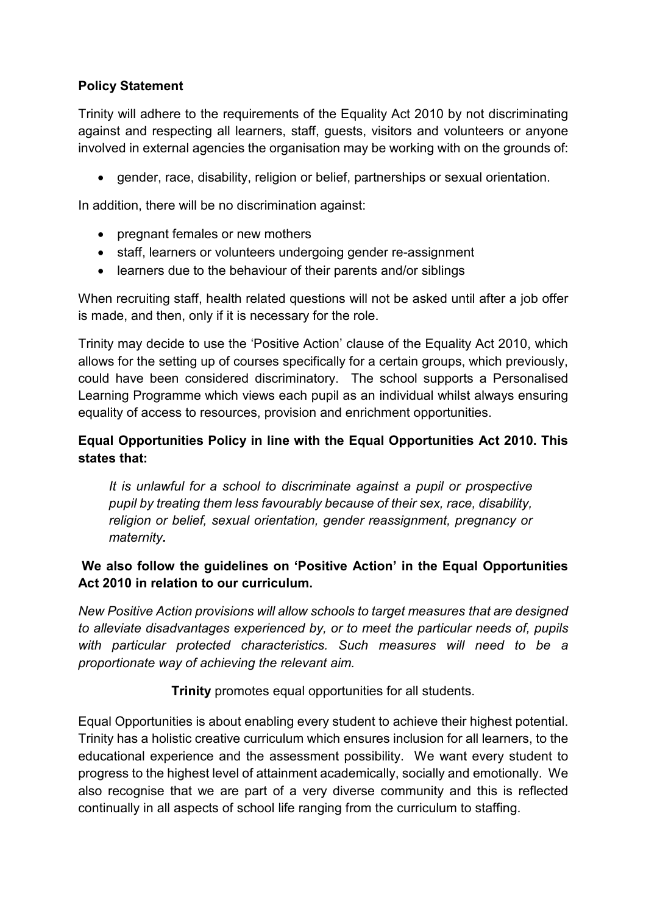## **Policy Statement**

Trinity will adhere to the requirements of the Equality Act 2010 by not discriminating against and respecting all learners, staff, guests, visitors and volunteers or anyone involved in external agencies the organisation may be working with on the grounds of:

gender, race, disability, religion or belief, partnerships or sexual orientation.

In addition, there will be no discrimination against:

- pregnant females or new mothers
- staff, learners or volunteers undergoing gender re-assignment
- learners due to the behaviour of their parents and/or siblings

When recruiting staff, health related questions will not be asked until after a job offer is made, and then, only if it is necessary for the role.

Trinity may decide to use the 'Positive Action' clause of the Equality Act 2010, which allows for the setting up of courses specifically for a certain groups, which previously, could have been considered discriminatory. The school supports a Personalised Learning Programme which views each pupil as an individual whilst always ensuring equality of access to resources, provision and enrichment opportunities.

## **Equal Opportunities Policy in line with the Equal Opportunities Act 2010. This states that:**

*It is unlawful for a school to discriminate against a pupil or prospective pupil by treating them less favourably because of their sex, race, disability, religion or belief, sexual orientation, gender reassignment, pregnancy or maternity.*

## **We also follow the guidelines on 'Positive Action' in the Equal Opportunities Act 2010 in relation to our curriculum.**

*New Positive Action provisions will allow schools to target measures that are designed to alleviate disadvantages experienced by, or to meet the particular needs of, pupils with particular protected characteristics. Such measures will need to be a proportionate way of achieving the relevant aim.* 

**Trinity** promotes equal opportunities for all students.

Equal Opportunities is about enabling every student to achieve their highest potential. Trinity has a holistic creative curriculum which ensures inclusion for all learners, to the educational experience and the assessment possibility. We want every student to progress to the highest level of attainment academically, socially and emotionally. We also recognise that we are part of a very diverse community and this is reflected continually in all aspects of school life ranging from the curriculum to staffing.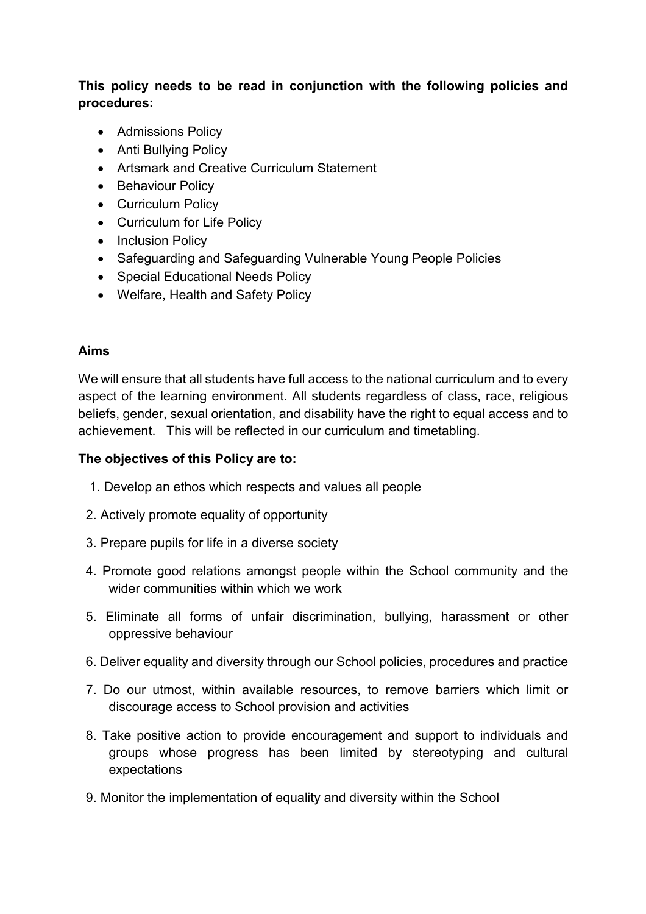## **This policy needs to be read in conjunction with the following policies and procedures:**

- Admissions Policy
- Anti Bullying Policy
- Artsmark and Creative Curriculum Statement
- Behaviour Policy
- Curriculum Policy
- Curriculum for Life Policy
- Inclusion Policy
- Safeguarding and Safeguarding Vulnerable Young People Policies
- Special Educational Needs Policy
- Welfare, Health and Safety Policy

## **Aims**

We will ensure that all students have full access to the national curriculum and to every aspect of the learning environment. All students regardless of class, race, religious beliefs, gender, sexual orientation, and disability have the right to equal access and to achievement. This will be reflected in our curriculum and timetabling.

#### **The objectives of this Policy are to:**

- 1. Develop an ethos which respects and values all people
- 2. Actively promote equality of opportunity
- 3. Prepare pupils for life in a diverse society
- 4. Promote good relations amongst people within the School community and the wider communities within which we work
- 5. Eliminate all forms of unfair discrimination, bullying, harassment or other oppressive behaviour
- 6. Deliver equality and diversity through our School policies, procedures and practice
- 7. Do our utmost, within available resources, to remove barriers which limit or discourage access to School provision and activities
- 8. Take positive action to provide encouragement and support to individuals and groups whose progress has been limited by stereotyping and cultural expectations
- 9. Monitor the implementation of equality and diversity within the School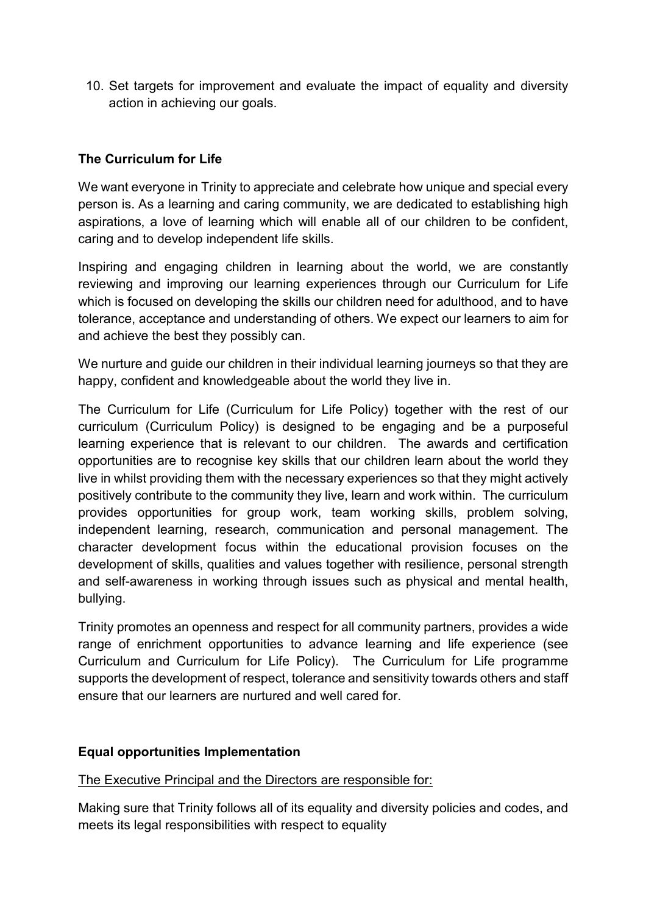10. Set targets for improvement and evaluate the impact of equality and diversity action in achieving our goals.

### **The Curriculum for Life**

We want everyone in Trinity to appreciate and celebrate how unique and special every person is. As a learning and caring community, we are dedicated to establishing high aspirations, a love of learning which will enable all of our children to be confident, caring and to develop independent life skills.

Inspiring and engaging children in learning about the world, we are constantly reviewing and improving our learning experiences through our Curriculum for Life which is focused on developing the skills our children need for adulthood, and to have tolerance, acceptance and understanding of others. We expect our learners to aim for and achieve the best they possibly can.

We nurture and quide our children in their individual learning journeys so that they are happy, confident and knowledgeable about the world they live in.

The Curriculum for Life (Curriculum for Life Policy) together with the rest of our curriculum (Curriculum Policy) is designed to be engaging and be a purposeful learning experience that is relevant to our children. The awards and certification opportunities are to recognise key skills that our children learn about the world they live in whilst providing them with the necessary experiences so that they might actively positively contribute to the community they live, learn and work within. The curriculum provides opportunities for group work, team working skills, problem solving, independent learning, research, communication and personal management. The character development focus within the educational provision focuses on the development of skills, qualities and values together with resilience, personal strength and self-awareness in working through issues such as physical and mental health, bullying.

Trinity promotes an openness and respect for all community partners, provides a wide range of enrichment opportunities to advance learning and life experience (see Curriculum and Curriculum for Life Policy). The Curriculum for Life programme supports the development of respect, tolerance and sensitivity towards others and staff ensure that our learners are nurtured and well cared for.

#### **Equal opportunities Implementation**

#### The Executive Principal and the Directors are responsible for:

Making sure that Trinity follows all of its equality and diversity policies and codes, and meets its legal responsibilities with respect to equality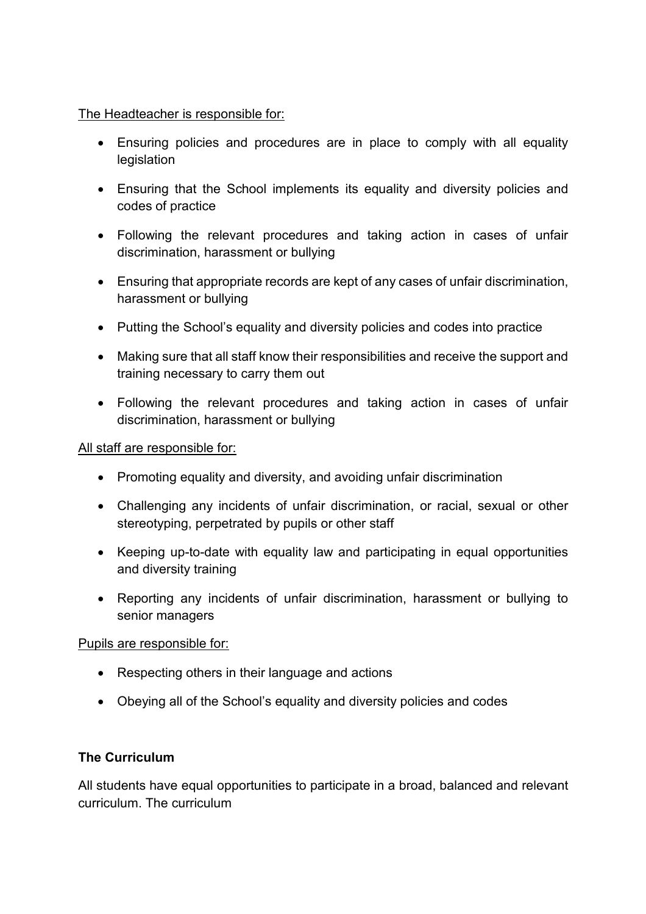#### The Headteacher is responsible for:

- Ensuring policies and procedures are in place to comply with all equality legislation
- Ensuring that the School implements its equality and diversity policies and codes of practice
- Following the relevant procedures and taking action in cases of unfair discrimination, harassment or bullying
- Ensuring that appropriate records are kept of any cases of unfair discrimination, harassment or bullying
- Putting the School's equality and diversity policies and codes into practice
- Making sure that all staff know their responsibilities and receive the support and training necessary to carry them out
- Following the relevant procedures and taking action in cases of unfair discrimination, harassment or bullying

#### All staff are responsible for:

- Promoting equality and diversity, and avoiding unfair discrimination
- Challenging any incidents of unfair discrimination, or racial, sexual or other stereotyping, perpetrated by pupils or other staff
- Keeping up-to-date with equality law and participating in equal opportunities and diversity training
- Reporting any incidents of unfair discrimination, harassment or bullying to senior managers

#### Pupils are responsible for:

- Respecting others in their language and actions
- Obeying all of the School's equality and diversity policies and codes

#### **The Curriculum**

All students have equal opportunities to participate in a broad, balanced and relevant curriculum. The curriculum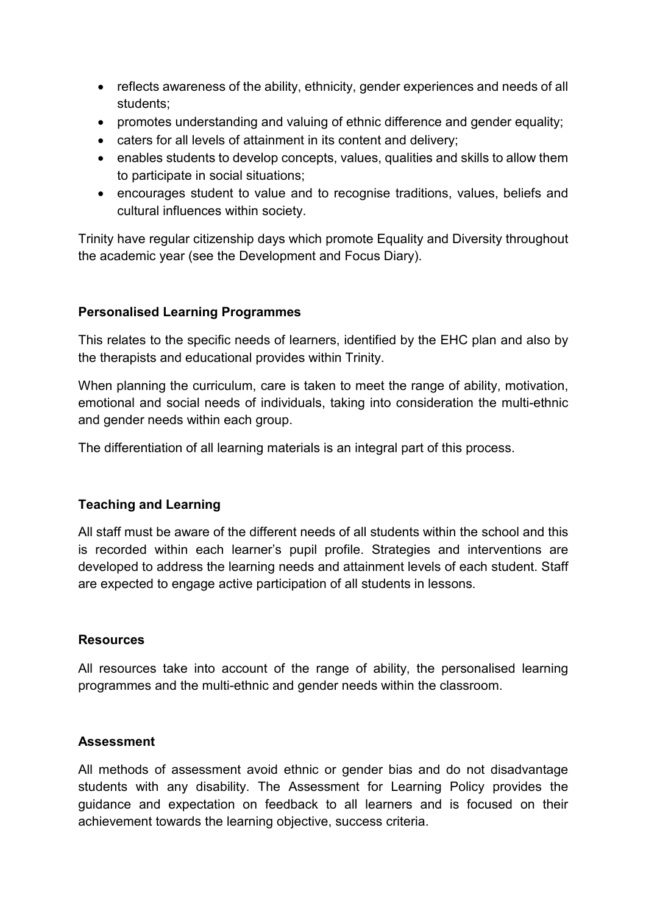- reflects awareness of the ability, ethnicity, gender experiences and needs of all students;
- promotes understanding and valuing of ethnic difference and gender equality;
- caters for all levels of attainment in its content and delivery;
- enables students to develop concepts, values, qualities and skills to allow them to participate in social situations;
- encourages student to value and to recognise traditions, values, beliefs and cultural influences within society.

Trinity have regular citizenship days which promote Equality and Diversity throughout the academic year (see the Development and Focus Diary).

#### **Personalised Learning Programmes**

This relates to the specific needs of learners, identified by the EHC plan and also by the therapists and educational provides within Trinity.

When planning the curriculum, care is taken to meet the range of ability, motivation, emotional and social needs of individuals, taking into consideration the multi-ethnic and gender needs within each group.

The differentiation of all learning materials is an integral part of this process.

#### **Teaching and Learning**

All staff must be aware of the different needs of all students within the school and this is recorded within each learner's pupil profile. Strategies and interventions are developed to address the learning needs and attainment levels of each student. Staff are expected to engage active participation of all students in lessons.

#### **Resources**

All resources take into account of the range of ability, the personalised learning programmes and the multi-ethnic and gender needs within the classroom.

#### **Assessment**

All methods of assessment avoid ethnic or gender bias and do not disadvantage students with any disability. The Assessment for Learning Policy provides the guidance and expectation on feedback to all learners and is focused on their achievement towards the learning objective, success criteria.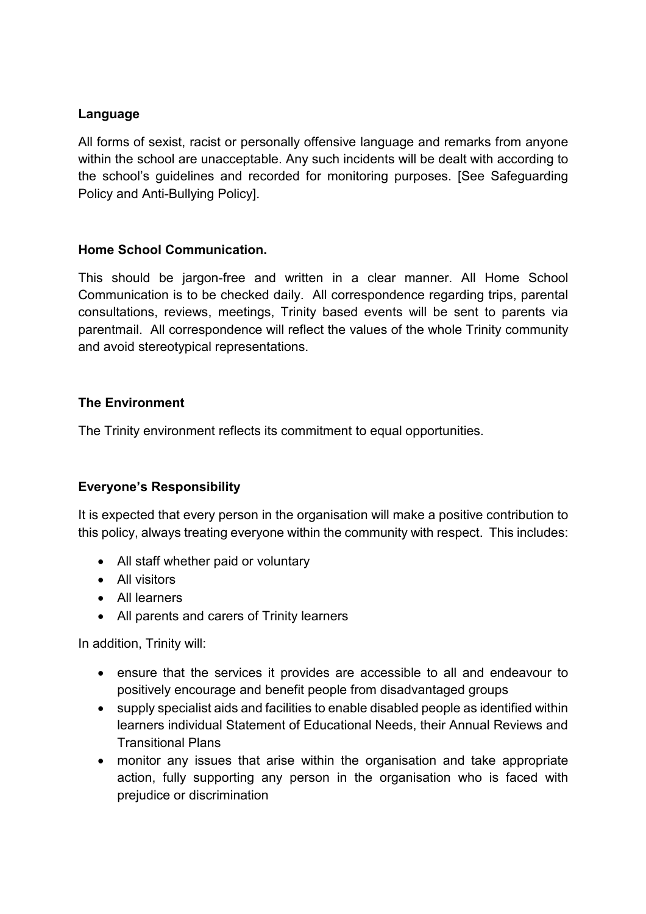### **Language**

All forms of sexist, racist or personally offensive language and remarks from anyone within the school are unacceptable. Any such incidents will be dealt with according to the school's guidelines and recorded for monitoring purposes. [See Safeguarding Policy and Anti-Bullying Policy].

#### **Home School Communication.**

This should be jargon-free and written in a clear manner. All Home School Communication is to be checked daily. All correspondence regarding trips, parental consultations, reviews, meetings, Trinity based events will be sent to parents via parentmail. All correspondence will reflect the values of the whole Trinity community and avoid stereotypical representations.

## **The Environment**

The Trinity environment reflects its commitment to equal opportunities.

## **Everyone's Responsibility**

It is expected that every person in the organisation will make a positive contribution to this policy, always treating everyone within the community with respect. This includes:

- All staff whether paid or voluntary
- All visitors
- All learners
- All parents and carers of Trinity learners

In addition, Trinity will:

- ensure that the services it provides are accessible to all and endeavour to positively encourage and benefit people from disadvantaged groups
- supply specialist aids and facilities to enable disabled people as identified within learners individual Statement of Educational Needs, their Annual Reviews and Transitional Plans
- monitor any issues that arise within the organisation and take appropriate action, fully supporting any person in the organisation who is faced with prejudice or discrimination